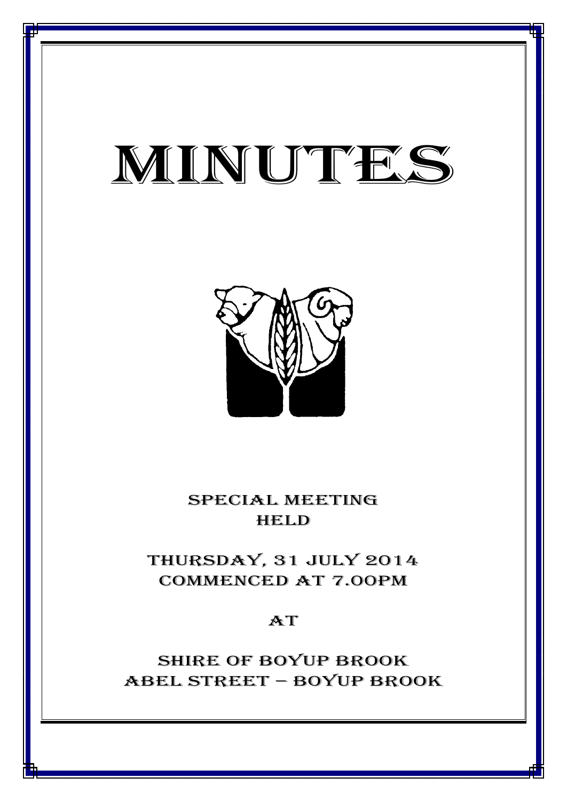# MINUTES

*MINUTES OF THE SPECIAL MEETING OF COUNCIL HELD ON 31 JULY 2014*



SPECIAL MEETING **HELD** 

THURSDAY, 31 JULY 2014 CommencED at 7.00PM

 $AT$ 

Shire of boyup brook ABEL STREET – BOYUP BROOK

1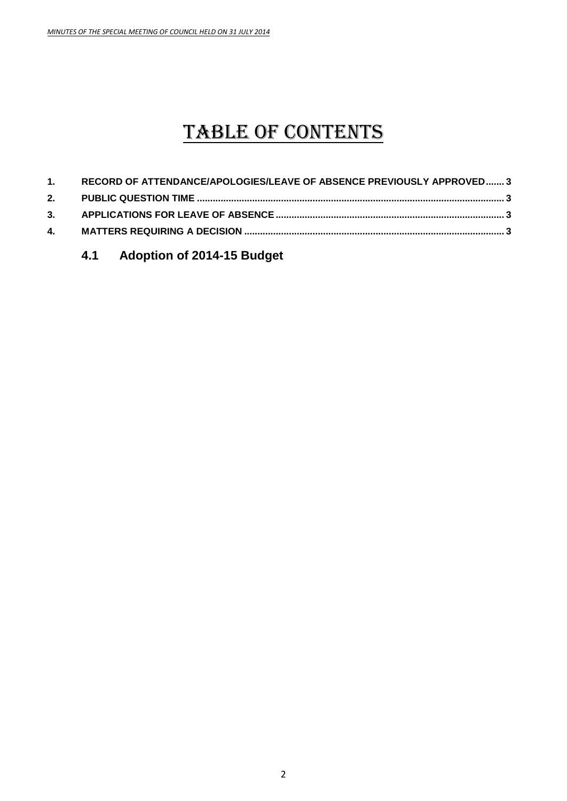# TABLE OF CONTENTS

| 1. RECORD OF ATTENDANCE/APOLOGIES/LEAVE OF ABSENCE PREVIOUSLY APPROVED 3 |  |
|--------------------------------------------------------------------------|--|
|                                                                          |  |
|                                                                          |  |
|                                                                          |  |
|                                                                          |  |

# **4.1 Adoption of 2014-15 Budget**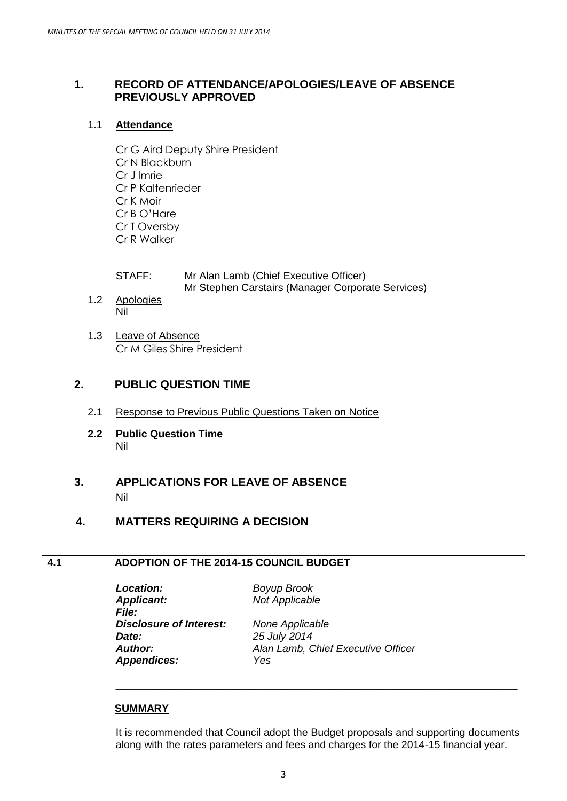#### <span id="page-2-0"></span>**1. RECORD OF ATTENDANCE/APOLOGIES/LEAVE OF ABSENCE PREVIOUSLY APPROVED**

#### 1.1 **Attendance**

Cr G Aird Deputy Shire President Cr N Blackburn Cr J Imrie Cr P Kaltenrieder Cr K Moir Cr B O'Hare Cr T Oversby Cr R Walker

| STAFF: | Mr Alan Lamb (Chief Executive Officer)            |
|--------|---------------------------------------------------|
|        | Mr Stephen Carstairs (Manager Corporate Services) |

- 1.2 Apologies Nil
- 1.3 Leave of Absence Cr M Giles Shire President

## <span id="page-2-1"></span>**2. PUBLIC QUESTION TIME**

- 2.1 Response to Previous Public Questions Taken on Notice
- **2.2 Public Question Time** Nil

# <span id="page-2-2"></span>**3. APPLICATIONS FOR LEAVE OF ABSENCE** Nil

### <span id="page-2-3"></span>**4. MATTERS REQUIRING A DECISION**

#### **4.1 ADOPTION OF THE 2014-15 COUNCIL BUDGET**

*Location: Boyup Brook Applicant: Not Applicable File: Disclosure of Interest: None Applicable Date: 25 July 2014 Appendices: Yes*

*Author: Alan Lamb, Chief Executive Officer*

#### **SUMMARY**

It is recommended that Council adopt the Budget proposals and supporting documents along with the rates parameters and fees and charges for the 2014-15 financial year.

\_\_\_\_\_\_\_\_\_\_\_\_\_\_\_\_\_\_\_\_\_\_\_\_\_\_\_\_\_\_\_\_\_\_\_\_\_\_\_\_\_\_\_\_\_\_\_\_\_\_\_\_\_\_\_\_\_\_\_\_\_\_\_\_\_\_\_\_\_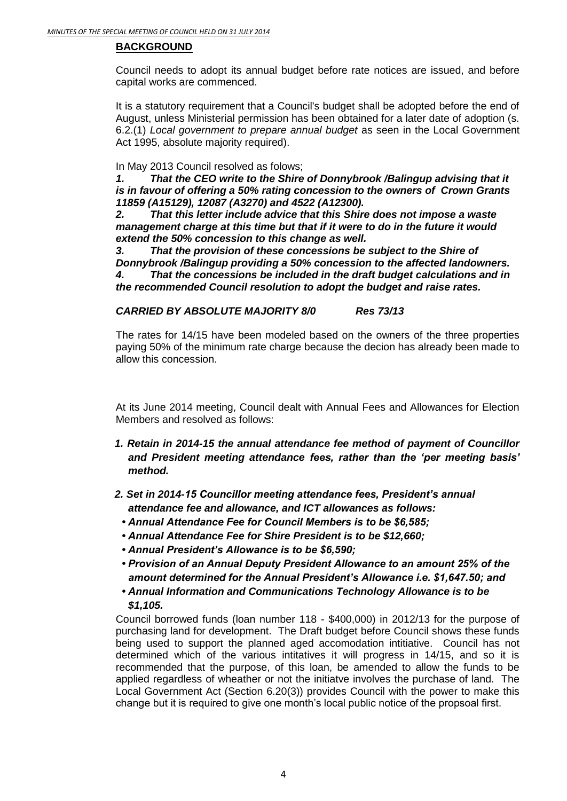#### **BACKGROUND**

Council needs to adopt its annual budget before rate notices are issued, and before capital works are commenced.

It is a statutory requirement that a Council's budget shall be adopted before the end of August, unless Ministerial permission has been obtained for a later date of adoption (s. 6.2.(1) *Local government to prepare annual budget* as seen in the Local Government Act 1995, absolute majority required).

In May 2013 Council resolved as folows;

*1. That the CEO write to the Shire of Donnybrook /Balingup advising that it is in favour of offering a 50% rating concession to the owners of Crown Grants 11859 (A15129), 12087 (A3270) and 4522 (A12300).* 

*2. That this letter include advice that this Shire does not impose a waste management charge at this time but that if it were to do in the future it would extend the 50% concession to this change as well.* 

*3. That the provision of these concessions be subject to the Shire of Donnybrook /Balingup providing a 50% concession to the affected landowners.*

*4. That the concessions be included in the draft budget calculations and in the recommended Council resolution to adopt the budget and raise rates.*

#### *CARRIED BY ABSOLUTE MAJORITY 8/0 Res 73/13*

The rates for 14/15 have been modeled based on the owners of the three properties paying 50% of the minimum rate charge because the decion has already been made to allow this concession.

At its June 2014 meeting, Council dealt with Annual Fees and Allowances for Election Members and resolved as follows:

- *1. Retain in 2014-15 the annual attendance fee method of payment of Councillor and President meeting attendance fees, rather than the 'per meeting basis' method.*
- *2. Set in 2014-15 Councillor meeting attendance fees, President's annual attendance fee and allowance, and ICT allowances as follows:*
	- *Annual Attendance Fee for Council Members is to be \$6,585;*
	- *Annual Attendance Fee for Shire President is to be \$12,660;*
	- *Annual President's Allowance is to be \$6,590;*
	- *Provision of an Annual Deputy President Allowance to an amount 25% of the amount determined for the Annual President's Allowance i.e. \$1,647.50; and*
	- *Annual Information and Communications Technology Allowance is to be \$1,105.*

Council borrowed funds (loan number 118 - \$400,000) in 2012/13 for the purpose of purchasing land for development. The Draft budget before Council shows these funds being used to support the planned aged accomodation intitiative. Council has not determined which of the various intitatives it will progress in 14/15, and so it is recommended that the purpose, of this loan, be amended to allow the funds to be applied regardless of wheather or not the initiatve involves the purchase of land. The Local Government Act (Section 6.20(3)) provides Council with the power to make this change but it is required to give one month's local public notice of the propsoal first.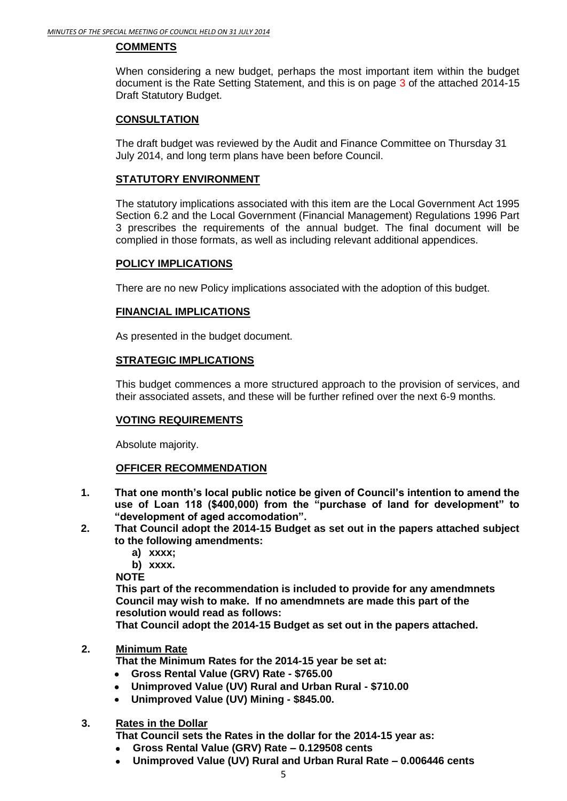#### **COMMENTS**

When considering a new budget, perhaps the most important item within the budget document is the Rate Setting Statement, and this is on page 3 of the attached 2014-15 Draft Statutory Budget.

#### **CONSULTATION**

The draft budget was reviewed by the Audit and Finance Committee on Thursday 31 July 2014, and long term plans have been before Council.

#### **STATUTORY ENVIRONMENT**

The statutory implications associated with this item are the Local Government Act 1995 Section 6.2 and the Local Government (Financial Management) Regulations 1996 Part 3 prescribes the requirements of the annual budget. The final document will be complied in those formats, as well as including relevant additional appendices.

#### **POLICY IMPLICATIONS**

There are no new Policy implications associated with the adoption of this budget.

#### **FINANCIAL IMPLICATIONS**

As presented in the budget document.

#### **STRATEGIC IMPLICATIONS**

This budget commences a more structured approach to the provision of services, and their associated assets, and these will be further refined over the next 6-9 months.

#### **VOTING REQUIREMENTS**

Absolute majority.

#### **OFFICER RECOMMENDATION**

- **1. That one month's local public notice be given of Council's intention to amend the use of Loan 118 (\$400,000) from the "purchase of land for development" to "development of aged accomodation".**
- **2. That Council adopt the 2014-15 Budget as set out in the papers attached subject to the following amendments:**
	- **a) xxxx;**

**b) xxxx.**

**NOTE**

**This part of the recommendation is included to provide for any amendmnets Council may wish to make. If no amendmnets are made this part of the resolution would read as follows:**

**That Council adopt the 2014-15 Budget as set out in the papers attached.**

#### **2. Minimum Rate**

**That the Minimum Rates for the 2014-15 year be set at:**

- **Gross Rental Value (GRV) Rate - \$765.00**
- **Unimproved Value (UV) Rural and Urban Rural - \$710.00**
- **Unimproved Value (UV) Mining - \$845.00.**

#### **3. Rates in the Dollar**

**That Council sets the Rates in the dollar for the 2014-15 year as:**

- **Gross Rental Value (GRV) Rate – 0.129508 cents**  $\bullet$
- **Unimproved Value (UV) Rural and Urban Rural Rate – 0.006446 cents**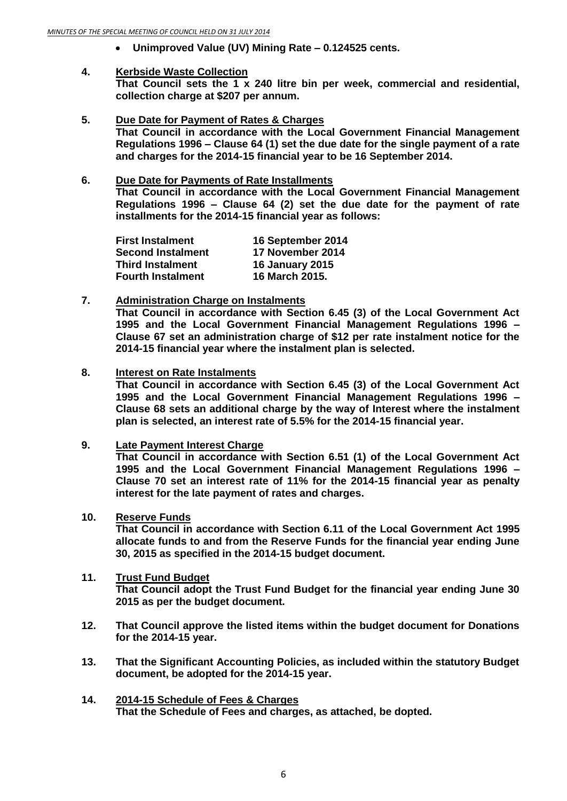**Unimproved Value (UV) Mining Rate – 0.124525 cents.**

#### **4. Kerbside Waste Collection**

**That Council sets the 1 x 240 litre bin per week, commercial and residential, collection charge at \$207 per annum.**

- **5. Due Date for Payment of Rates & Charges That Council in accordance with the Local Government Financial Management Regulations 1996 – Clause 64 (1) set the due date for the single payment of a rate and charges for the 2014-15 financial year to be 16 September 2014.**
- **6. Due Date for Payments of Rate Installments That Council in accordance with the Local Government Financial Management Regulations 1996 – Clause 64 (2) set the due date for the payment of rate installments for the 2014-15 financial year as follows:**

| <b>First Instalment</b>  | 16 September 2014      |  |
|--------------------------|------------------------|--|
| <b>Second Instalment</b> | 17 November 2014       |  |
| <b>Third Instalment</b>  | <b>16 January 2015</b> |  |
| <b>Fourth Instalment</b> | 16 March 2015.         |  |

#### **7. Administration Charge on Instalments**

**That Council in accordance with Section 6.45 (3) of the Local Government Act 1995 and the Local Government Financial Management Regulations 1996 – Clause 67 set an administration charge of \$12 per rate instalment notice for the 2014-15 financial year where the instalment plan is selected.**

#### **8. Interest on Rate Instalments**

**That Council in accordance with Section 6.45 (3) of the Local Government Act 1995 and the Local Government Financial Management Regulations 1996 – Clause 68 sets an additional charge by the way of Interest where the instalment plan is selected, an interest rate of 5.5% for the 2014-15 financial year.**

**9. Late Payment Interest Charge**

**That Council in accordance with Section 6.51 (1) of the Local Government Act 1995 and the Local Government Financial Management Regulations 1996 – Clause 70 set an interest rate of 11% for the 2014-15 financial year as penalty interest for the late payment of rates and charges.**

#### **10. Reserve Funds**

**That Council in accordance with Section 6.11 of the Local Government Act 1995 allocate funds to and from the Reserve Funds for the financial year ending June 30, 2015 as specified in the 2014-15 budget document.**

#### **11. Trust Fund Budget That Council adopt the Trust Fund Budget for the financial year ending June 30 2015 as per the budget document.**

- **12. That Council approve the listed items within the budget document for Donations for the 2014-15 year.**
- **13. That the Significant Accounting Policies, as included within the statutory Budget document, be adopted for the 2014-15 year.**
- **14. 2014-15 Schedule of Fees & Charges That the Schedule of Fees and charges, as attached, be dopted.**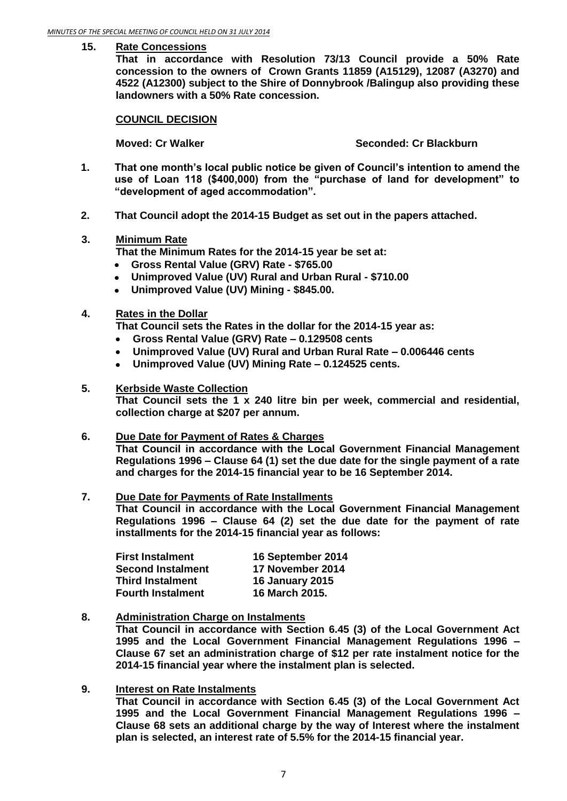#### **15. Rate Concessions**

**That in accordance with Resolution 73/13 Council provide a 50% Rate concession to the owners of Crown Grants 11859 (A15129), 12087 (A3270) and 4522 (A12300) subject to the Shire of Donnybrook /Balingup also providing these landowners with a 50% Rate concession.**

#### **COUNCIL DECISION**

**Moved: Cr Walker Seconded: Cr Blackburn**

- **1. That one month's local public notice be given of Council's intention to amend the use of Loan 118 (\$400,000) from the "purchase of land for development" to "development of aged accommodation".**
- **2. That Council adopt the 2014-15 Budget as set out in the papers attached.**
- **3. Minimum Rate**

**That the Minimum Rates for the 2014-15 year be set at:**

- **Gross Rental Value (GRV) Rate - \$765.00**
- **Unimproved Value (UV) Rural and Urban Rural - \$710.00**
- **Unimproved Value (UV) Mining - \$845.00.**
- **4. Rates in the Dollar**

**That Council sets the Rates in the dollar for the 2014-15 year as:**

- **Gross Rental Value (GRV) Rate – 0.129508 cents**  $\bullet$
- $\bullet$ **Unimproved Value (UV) Rural and Urban Rural Rate – 0.006446 cents**
- **Unimproved Value (UV) Mining Rate – 0.124525 cents.**  $\bullet$

#### **5. Kerbside Waste Collection**

**That Council sets the 1 x 240 litre bin per week, commercial and residential, collection charge at \$207 per annum.**

#### **6. Due Date for Payment of Rates & Charges**

**That Council in accordance with the Local Government Financial Management Regulations 1996 – Clause 64 (1) set the due date for the single payment of a rate and charges for the 2014-15 financial year to be 16 September 2014.**

#### **7. Due Date for Payments of Rate Installments**

**That Council in accordance with the Local Government Financial Management Regulations 1996 – Clause 64 (2) set the due date for the payment of rate installments for the 2014-15 financial year as follows:**

| <b>First Instalment</b>  | 16 September 2014      |  |
|--------------------------|------------------------|--|
| <b>Second Instalment</b> | 17 November 2014       |  |
| <b>Third Instalment</b>  | <b>16 January 2015</b> |  |
| <b>Fourth Instalment</b> | <b>16 March 2015.</b>  |  |

#### **8. Administration Charge on Instalments**

**That Council in accordance with Section 6.45 (3) of the Local Government Act 1995 and the Local Government Financial Management Regulations 1996 – Clause 67 set an administration charge of \$12 per rate instalment notice for the 2014-15 financial year where the instalment plan is selected.**

#### **9. Interest on Rate Instalments**

**That Council in accordance with Section 6.45 (3) of the Local Government Act 1995 and the Local Government Financial Management Regulations 1996 – Clause 68 sets an additional charge by the way of Interest where the instalment plan is selected, an interest rate of 5.5% for the 2014-15 financial year.**